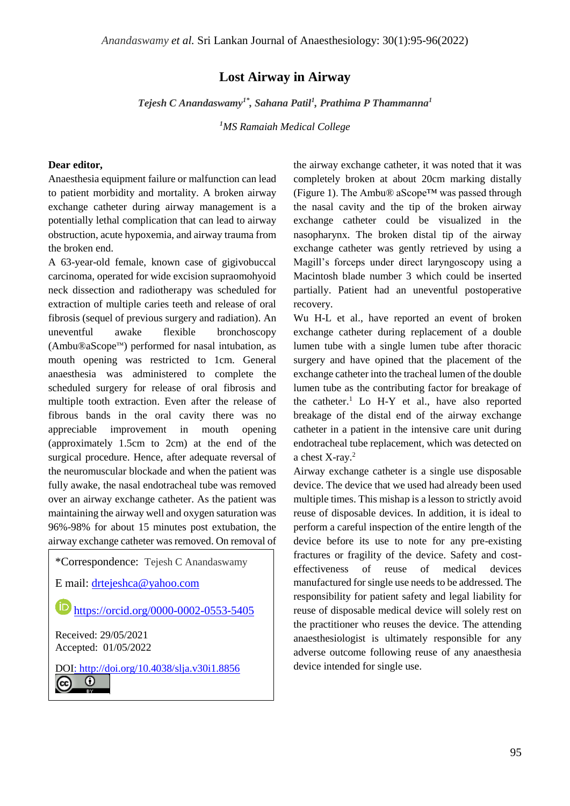## **Lost Airway in Airway**

*Tejesh C Anandaswamy1\*, Sahana Patil<sup>1</sup> , Prathima P Thammanna<sup>1</sup>*

*<sup>1</sup>MS Ramaiah Medical College*

## **Dear editor,**

Anaesthesia equipment failure or malfunction can lead to patient morbidity and mortality. A broken airway exchange catheter during airway management is a potentially lethal complication that can lead to airway obstruction, acute hypoxemia, and airway trauma from the broken end.

A 63-year-old female, known case of gigivobuccal carcinoma, operated for wide excision supraomohyoid neck dissection and radiotherapy was scheduled for extraction of multiple caries teeth and release of oral fibrosis (sequel of previous surgery and radiation). An uneventful awake flexible bronchoscopy  $(Ambu@aScope<sup>TM</sup>)$  performed for nasal intubation, as mouth opening was restricted to 1cm. General anaesthesia was administered to complete the scheduled surgery for release of oral fibrosis and multiple tooth extraction. Even after the release of fibrous bands in the oral cavity there was no appreciable improvement in mouth opening (approximately 1.5cm to 2cm) at the end of the surgical procedure. Hence, after adequate reversal of the neuromuscular blockade and when the patient was fully awake, the nasal endotracheal tube was removed over an airway exchange catheter. As the patient was maintaining the airway well and oxygen saturation was 96%-98% for about 15 minutes post extubation, the airway exchange catheter was removed. On removal of

\*Correspondence: Tejesh C Anandaswamy

E mail: [drtejeshca@yahoo.com](mailto:drtejeshca@yahoo.com)

**<https://orcid.org/0000-0002-0553-5405>** 

Received: 29/05/2021 Accepted: 01/05/2022

[DOI:](https://creativecommons.org/licenses/by/4.0/)<http://doi.org/10.4038/slja.v30i1.8856>

 $\odot$  $(cc)$ 

the airway exchange catheter, it was noted that it was completely broken at about 20cm marking distally (Figure 1). The Ambu® aScope™ was passed through the nasal cavity and the tip of the broken airway exchange catheter could be visualized in the nasopharynx. The broken distal tip of the airway exchange catheter was gently retrieved by using a Magill's forceps under direct laryngoscopy using a Macintosh blade number 3 which could be inserted partially. Patient had an uneventful postoperative recovery.

Wu H-L et al., have reported an event of broken exchange catheter during replacement of a double lumen tube with a single lumen tube after thoracic surgery and have opined that the placement of the exchange catheter into the tracheal lumen of the double lumen tube as the contributing factor for breakage of the catheter.<sup>1</sup> Lo H-Y et al., have also reported breakage of the distal end of the airway exchange catheter in a patient in the intensive care unit during endotracheal tube replacement, which was detected on a chest X-ray.<sup>2</sup>

Airway exchange catheter is a single use disposable device. The device that we used had already been used multiple times. This mishap is a lesson to strictly avoid reuse of disposable devices. In addition, it is ideal to perform a careful inspection of the entire length of the device before its use to note for any pre-existing fractures or fragility of the device. Safety and costeffectiveness of reuse of medical devices manufactured for single use needs to be addressed. The responsibility for patient safety and legal liability for reuse of disposable medical device will solely rest on the practitioner who reuses the device. The attending anaesthesiologist is ultimately responsible for any adverse outcome following reuse of any anaesthesia device intended for single use.